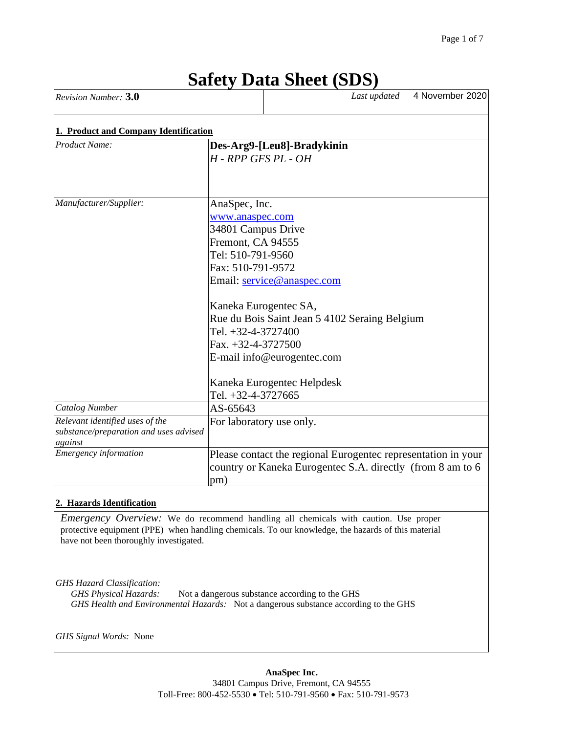| Revision Number: 3.0                                                                 |                                                                                                                                                                                         |                                                                                                                                                                  | Last updated | 4 November 2020 |
|--------------------------------------------------------------------------------------|-----------------------------------------------------------------------------------------------------------------------------------------------------------------------------------------|------------------------------------------------------------------------------------------------------------------------------------------------------------------|--------------|-----------------|
| 1. Product and Company Identification                                                |                                                                                                                                                                                         |                                                                                                                                                                  |              |                 |
| <b>Product Name:</b>                                                                 | $H$ - RPP GFS PL - OH                                                                                                                                                                   | Des-Arg9-[Leu8]-Bradykinin                                                                                                                                       |              |                 |
| Manufacturer/Supplier:                                                               | AnaSpec, Inc.<br>www.anaspec.com<br>34801 Campus Drive<br>Fremont, CA 94555<br>Tel: 510-791-9560<br>Fax: 510-791-9572<br>Tel. +32-4-3727400<br>Fax. +32-4-3727500<br>Tel. +32-4-3727665 | Email: service@anaspec.com<br>Kaneka Eurogentec SA,<br>Rue du Bois Saint Jean 5 4102 Seraing Belgium<br>E-mail info@eurogentec.com<br>Kaneka Eurogentec Helpdesk |              |                 |
| <b>Catalog Number</b>                                                                | AS-65643                                                                                                                                                                                |                                                                                                                                                                  |              |                 |
| Relevant identified uses of the<br>substance/preparation and uses advised<br>against | For laboratory use only.                                                                                                                                                                |                                                                                                                                                                  |              |                 |
| <b>Emergency</b> information                                                         | pm)                                                                                                                                                                                     | Please contact the regional Eurogentec representation in your<br>country or Kaneka Eurogentec S.A. directly (from 8 am to 6                                      |              |                 |
| 2. Hazards Identification                                                            |                                                                                                                                                                                         |                                                                                                                                                                  |              |                 |

# **Safety Data Sheet (SDS)**

*Emergency Overview:* We do recommend handling all chemicals with caution. Use proper protective equipment (PPE) when handling chemicals. To our knowledge, the hazards of this material have not been thoroughly investigated.

*GHS Hazard Classification:*

GHS Physical Hazards: Not a dangerous substance according to the GHS *GHS Health and Environmental Hazards:* Not a dangerous substance according to the GHS

*GHS Signal Words:* None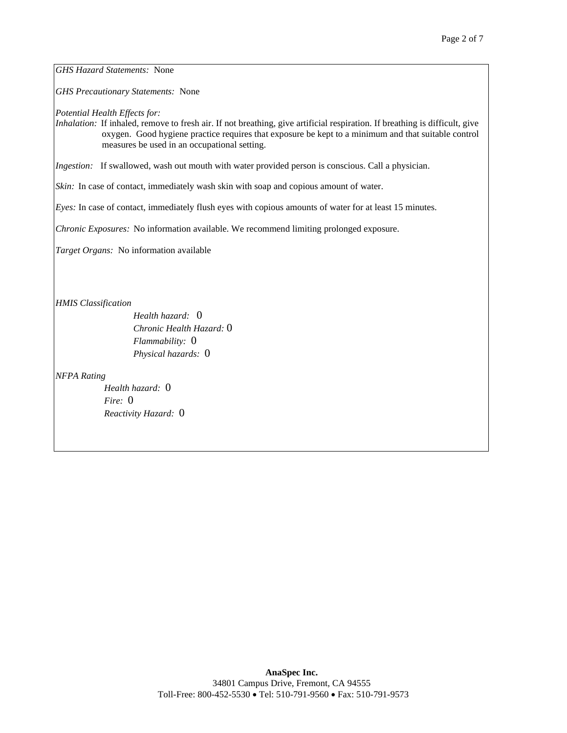*GHS Hazard Statements:* None

*GHS Precautionary Statements:* None

*Potential Health Effects for:*

*Inhalation:* If inhaled, remove to fresh air. If not breathing, give artificial respiration. If breathing is difficult, give oxygen. Good hygiene practice requires that exposure be kept to a minimum and that suitable control measures be used in an occupational setting.

*Ingestion:* If swallowed, wash out mouth with water provided person is conscious. Call a physician.

*Skin:* In case of contact, immediately wash skin with soap and copious amount of water.

*Eyes:* In case of contact, immediately flush eyes with copious amounts of water for at least 15 minutes.

*Chronic Exposures:* No information available. We recommend limiting prolonged exposure.

*Target Organs:* No information available

*HMIS Classification*

*Health hazard:* 0 *Chronic Health Hazard:* 0 *Flammability:* 0 *Physical hazards:* 0

*NFPA Rating*

*Health hazard:* 0 *Fire:* 0 *Reactivity Hazard:* 0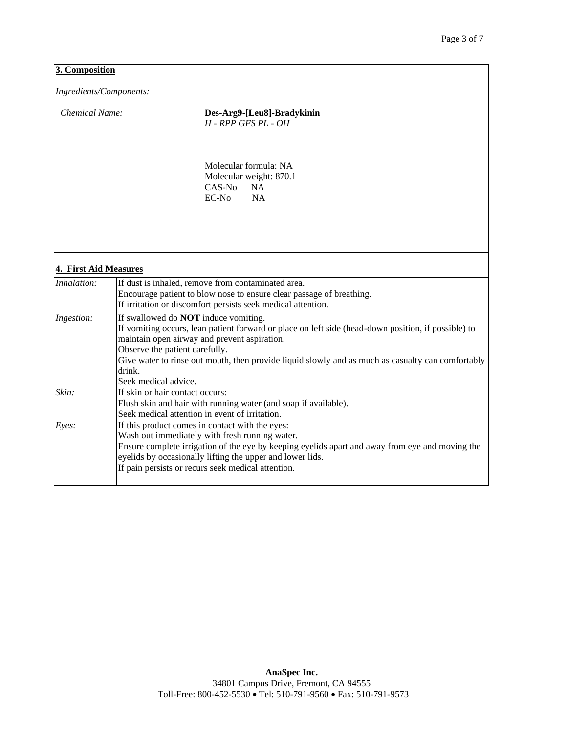# **3. Composition**

*Ingredients/Components:* 

*Chemical Name:* **Des-Arg9-[Leu8]-Bradykinin** *H - RPP GFS PL - OH*

> Molecular formula: NA Molecular weight: 870.1 CAS-No NA EC-No NA

# **4. First Aid Measures**

| Inhalation: | If dust is inhaled, remove from contaminated area.                                                                                                           |
|-------------|--------------------------------------------------------------------------------------------------------------------------------------------------------------|
|             | Encourage patient to blow nose to ensure clear passage of breathing.                                                                                         |
|             | If irritation or discomfort persists seek medical attention.                                                                                                 |
| Ingestion:  | If swallowed do <b>NOT</b> induce vomiting.                                                                                                                  |
|             | If vomiting occurs, lean patient forward or place on left side (head-down position, if possible) to<br>maintain open airway and prevent aspiration.          |
|             | Observe the patient carefully.                                                                                                                               |
|             | Give water to rinse out mouth, then provide liquid slowly and as much as casualty can comfortably                                                            |
|             | drink.                                                                                                                                                       |
|             | Seek medical advice.                                                                                                                                         |
| Skin:       | If skin or hair contact occurs:                                                                                                                              |
|             | Flush skin and hair with running water (and soap if available).                                                                                              |
|             | Seek medical attention in event of irritation.                                                                                                               |
| Eyes:       | If this product comes in contact with the eyes:                                                                                                              |
|             | Wash out immediately with fresh running water.                                                                                                               |
|             | Ensure complete irrigation of the eye by keeping eyelids apart and away from eye and moving the<br>eyelids by occasionally lifting the upper and lower lids. |
|             | If pain persists or recurs seek medical attention.                                                                                                           |
|             |                                                                                                                                                              |
|             |                                                                                                                                                              |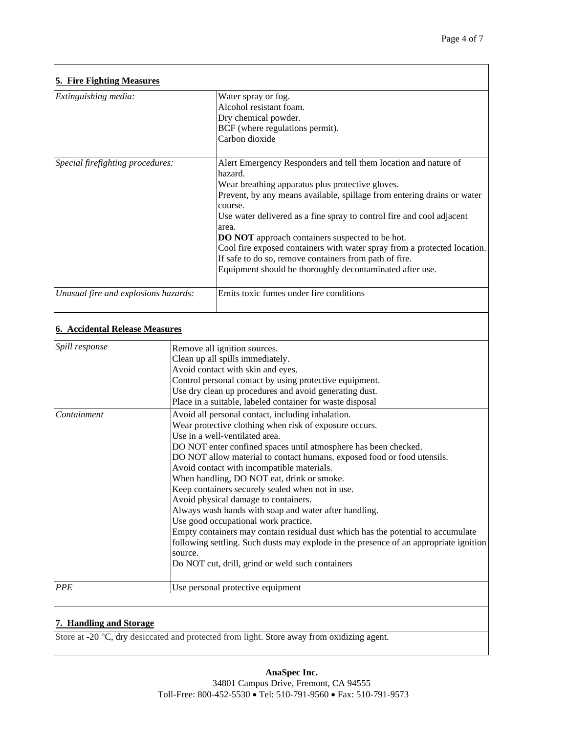٦

| <b>5. Fire Fighting Measures</b>      |         |                                                                                                                                                                                                                                                                                                                                                                                                                                                                                                                                                                                                                                                                                                                                                                                                                       |  |
|---------------------------------------|---------|-----------------------------------------------------------------------------------------------------------------------------------------------------------------------------------------------------------------------------------------------------------------------------------------------------------------------------------------------------------------------------------------------------------------------------------------------------------------------------------------------------------------------------------------------------------------------------------------------------------------------------------------------------------------------------------------------------------------------------------------------------------------------------------------------------------------------|--|
| Extinguishing media:                  |         | Water spray or fog.<br>Alcohol resistant foam.<br>Dry chemical powder.<br>BCF (where regulations permit).<br>Carbon dioxide                                                                                                                                                                                                                                                                                                                                                                                                                                                                                                                                                                                                                                                                                           |  |
| Special firefighting procedures:      |         | Alert Emergency Responders and tell them location and nature of<br>hazard.<br>Wear breathing apparatus plus protective gloves.<br>Prevent, by any means available, spillage from entering drains or water<br>course.<br>Use water delivered as a fine spray to control fire and cool adjacent<br>area.<br><b>DO NOT</b> approach containers suspected to be hot.<br>Cool fire exposed containers with water spray from a protected location.<br>If safe to do so, remove containers from path of fire.<br>Equipment should be thoroughly decontaminated after use.                                                                                                                                                                                                                                                    |  |
| Unusual fire and explosions hazards:  |         | Emits toxic fumes under fire conditions                                                                                                                                                                                                                                                                                                                                                                                                                                                                                                                                                                                                                                                                                                                                                                               |  |
| <b>6. Accidental Release Measures</b> |         |                                                                                                                                                                                                                                                                                                                                                                                                                                                                                                                                                                                                                                                                                                                                                                                                                       |  |
| Spill response                        |         | Remove all ignition sources.<br>Clean up all spills immediately.<br>Avoid contact with skin and eyes.<br>Control personal contact by using protective equipment.<br>Use dry clean up procedures and avoid generating dust.<br>Place in a suitable, labeled container for waste disposal                                                                                                                                                                                                                                                                                                                                                                                                                                                                                                                               |  |
| Containment                           | source. | Avoid all personal contact, including inhalation.<br>Wear protective clothing when risk of exposure occurs.<br>Use in a well-ventilated area.<br>DO NOT enter confined spaces until atmosphere has been checked.<br>DO NOT allow material to contact humans, exposed food or food utensils.<br>Avoid contact with incompatible materials.<br>When handling, DO NOT eat, drink or smoke.<br>Keep containers securely sealed when not in use.<br>Avoid physical damage to containers.<br>Always wash hands with soap and water after handling.<br>Use good occupational work practice.<br>Empty containers may contain residual dust which has the potential to accumulate<br>following settling. Such dusts may explode in the presence of an appropriate ignition<br>Do NOT cut, drill, grind or weld such containers |  |
| PPE                                   |         | Use personal protective equipment                                                                                                                                                                                                                                                                                                                                                                                                                                                                                                                                                                                                                                                                                                                                                                                     |  |
| 7. Handling and Storage               |         |                                                                                                                                                                                                                                                                                                                                                                                                                                                                                                                                                                                                                                                                                                                                                                                                                       |  |

 $\Gamma$ 

Store at -20 °C, dry desiccated and protected from light. Store away from oxidizing agent.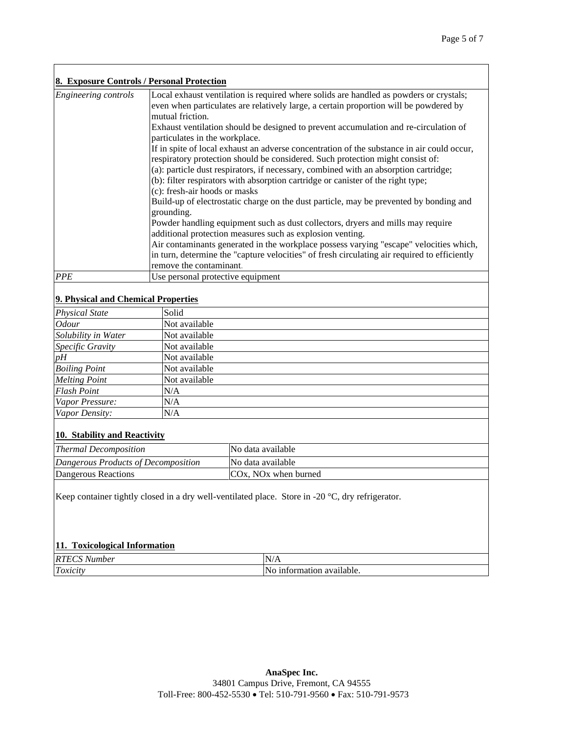| 8. Exposure Controls / Personal Protection |                                                                                                                                                                                                                                                                                                                                                                                           |
|--------------------------------------------|-------------------------------------------------------------------------------------------------------------------------------------------------------------------------------------------------------------------------------------------------------------------------------------------------------------------------------------------------------------------------------------------|
| Engineering controls                       | Local exhaust ventilation is required where solids are handled as powders or crystals;<br>even when particulates are relatively large, a certain proportion will be powdered by<br>mutual friction.                                                                                                                                                                                       |
|                                            | Exhaust ventilation should be designed to prevent accumulation and re-circulation of<br>particulates in the workplace.                                                                                                                                                                                                                                                                    |
|                                            | If in spite of local exhaust an adverse concentration of the substance in air could occur,<br>respiratory protection should be considered. Such protection might consist of:<br>(a): particle dust respirators, if necessary, combined with an absorption cartridge;<br>(b): filter respirators with absorption cartridge or canister of the right type;<br>(c): fresh-air hoods or masks |
|                                            | Build-up of electrostatic charge on the dust particle, may be prevented by bonding and<br>grounding.                                                                                                                                                                                                                                                                                      |
|                                            | Powder handling equipment such as dust collectors, dryers and mills may require<br>additional protection measures such as explosion venting.                                                                                                                                                                                                                                              |
|                                            | Air contaminants generated in the workplace possess varying "escape" velocities which,<br>in turn, determine the "capture velocities" of fresh circulating air required to efficiently<br>remove the contaminant.                                                                                                                                                                         |
| <b>PPE</b>                                 | Use personal protective equipment                                                                                                                                                                                                                                                                                                                                                         |

# **9. Physical and Chemical Properties**

 $\overline{\phantom{a}}$ 

| <b>Physical State</b> | Solid         |
|-----------------------|---------------|
| <i>Odour</i>          | Not available |
| Solubility in Water   | Not available |
| Specific Gravity      | Not available |
| pH                    | Not available |
| <b>Boiling Point</b>  | Not available |
| <b>Melting Point</b>  | Not available |
| <b>Flash Point</b>    | N/A           |
| Vapor Pressure:       | N/A           |
| Vapor Density:        | N/A           |

## **10. Stability and Reactivity**

| <b>Thermal Decomposition</b>        | INo data available      |
|-------------------------------------|-------------------------|
| Dangerous Products of Decomposition | No data available       |
| Dangerous Reactions                 | $COx$ , NOx when burned |

Keep container tightly closed in a dry well-ventilated place. Store in -20 °C, dry refrigerator.

# **11. Toxicological Information**

| RT<br>.ıber            | 'N.                                     |
|------------------------|-----------------------------------------|
| $\sqrt{ }$<br>. On the | ' N.<br>.<br>1n<br>available.<br>aatior |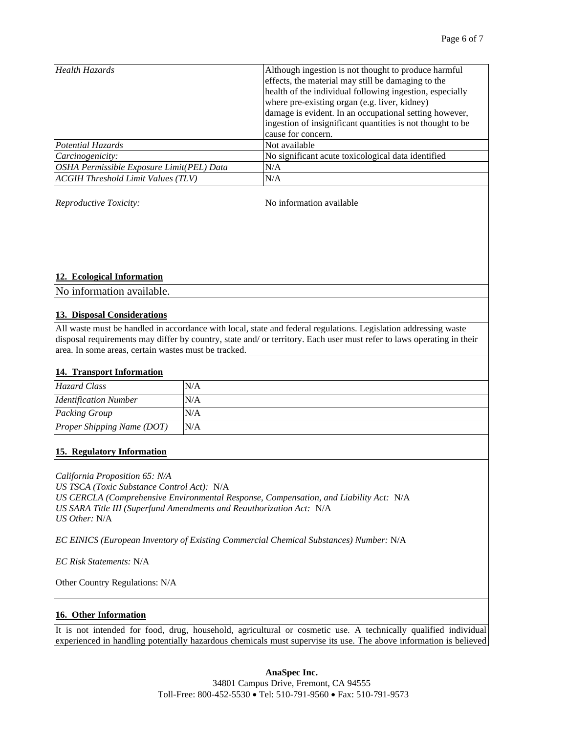| Health Hazards                            | Although ingestion is not thought to produce harmful<br>effects, the material may still be damaging to the<br>health of the individual following ingestion, especially<br>where pre-existing organ (e.g. liver, kidney)<br>damage is evident. In an occupational setting however,<br>ingestion of insignificant quantities is not thought to be<br>cause for concern. |
|-------------------------------------------|-----------------------------------------------------------------------------------------------------------------------------------------------------------------------------------------------------------------------------------------------------------------------------------------------------------------------------------------------------------------------|
| Potential Hazards                         | Not available                                                                                                                                                                                                                                                                                                                                                         |
| Carcinogenicity:                          | No significant acute toxicological data identified                                                                                                                                                                                                                                                                                                                    |
| OSHA Permissible Exposure Limit(PEL) Data | N/A                                                                                                                                                                                                                                                                                                                                                                   |
| <b>ACGIH Threshold Limit Values (TLV)</b> | N/A                                                                                                                                                                                                                                                                                                                                                                   |

*Reproductive Toxicity:*  $\blacksquare$  No information available

#### **12. Ecological Information**

No information available.

#### **13. Disposal Considerations**

All waste must be handled in accordance with local, state and federal regulations. Legislation addressing waste disposal requirements may differ by country, state and/ or territory. Each user must refer to laws operating in their area. In some areas, certain wastes must be tracked.

## **14. Transport Information**

| Hazard Class                               | N/A |
|--------------------------------------------|-----|
| <i><u><b>Identification Number</b></u></i> | N/A |
| <b>Packing Group</b>                       | N/A |
| <b>Proper Shipping Name (DOT)</b>          | N/A |

#### **15. Regulatory Information**

*California Proposition 65: N/A US TSCA (Toxic Substance Control Act):* N/A *US CERCLA (Comprehensive Environmental Response, Compensation, and Liability Act:* N/A *US SARA Title III (Superfund Amendments and Reauthorization Act:* N/A *US Other:* N/A

*EC EINICS (European Inventory of Existing Commercial Chemical Substances) Number: N/A* 

*EC Risk Statements:* N/A

Other Country Regulations: N/A

# **16. Other Information**

It is not intended for food, drug, household, agricultural or cosmetic use. A technically qualified individual experienced in handling potentially hazardous chemicals must supervise its use. The above information is believed